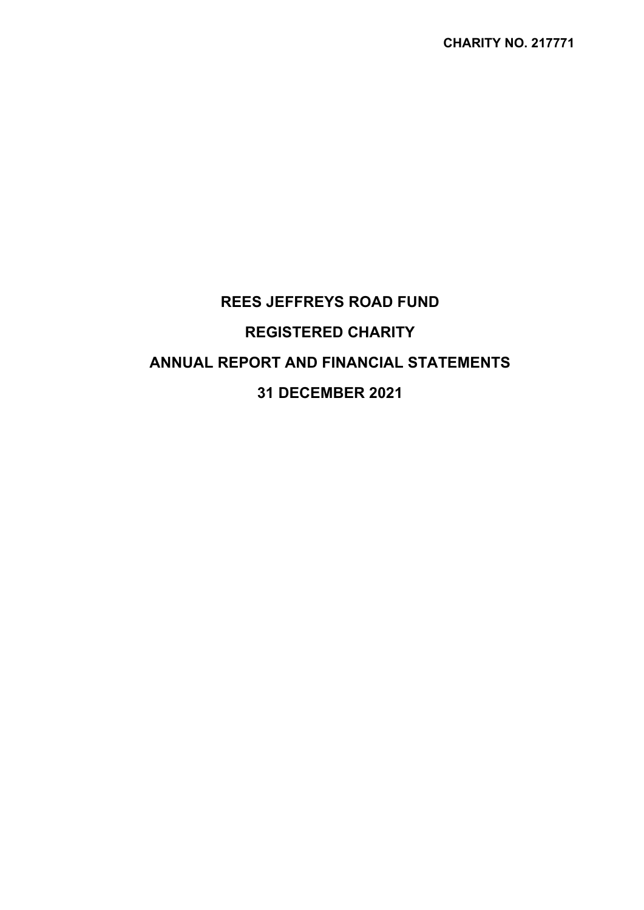# **REES JEFFREYS ROAD FUND REGISTERED CHARITY ANNUAL REPORT AND FINANCIAL STATEMENTS 31 DECEMBER 2021**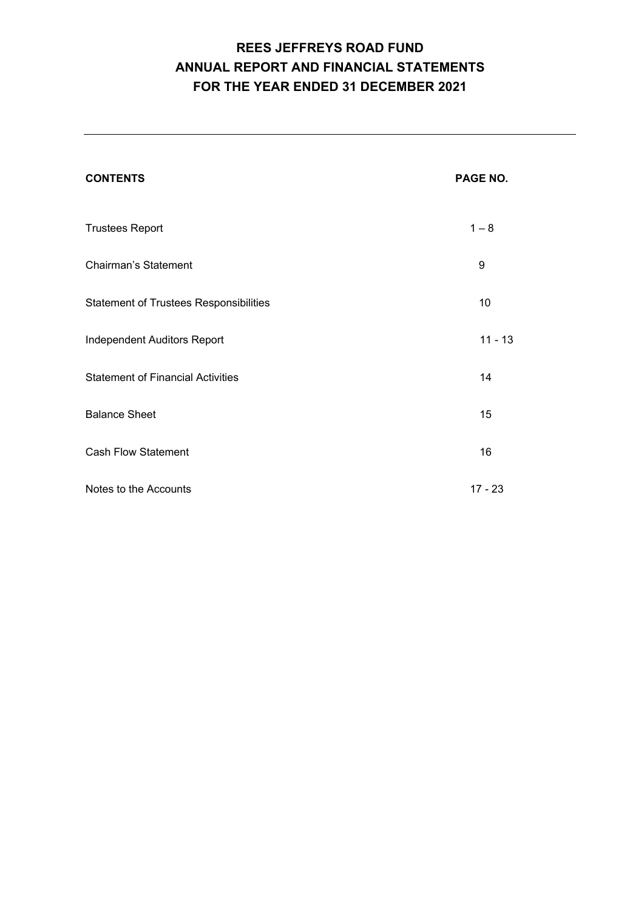# **REES JEFFREYS ROAD FUND ANNUAL REPORT AND FINANCIAL STATEMENTS FOR THE YEAR ENDED 31 DECEMBER 2021**

| <b>CONTENTS</b>                               | PAGE NO.  |
|-----------------------------------------------|-----------|
| <b>Trustees Report</b>                        | $1 - 8$   |
| <b>Chairman's Statement</b>                   | 9         |
| <b>Statement of Trustees Responsibilities</b> | 10        |
| Independent Auditors Report                   | $11 - 13$ |
| <b>Statement of Financial Activities</b>      | 14        |
| <b>Balance Sheet</b>                          | 15        |
| <b>Cash Flow Statement</b>                    | 16        |
| Notes to the Accounts                         | $17 - 23$ |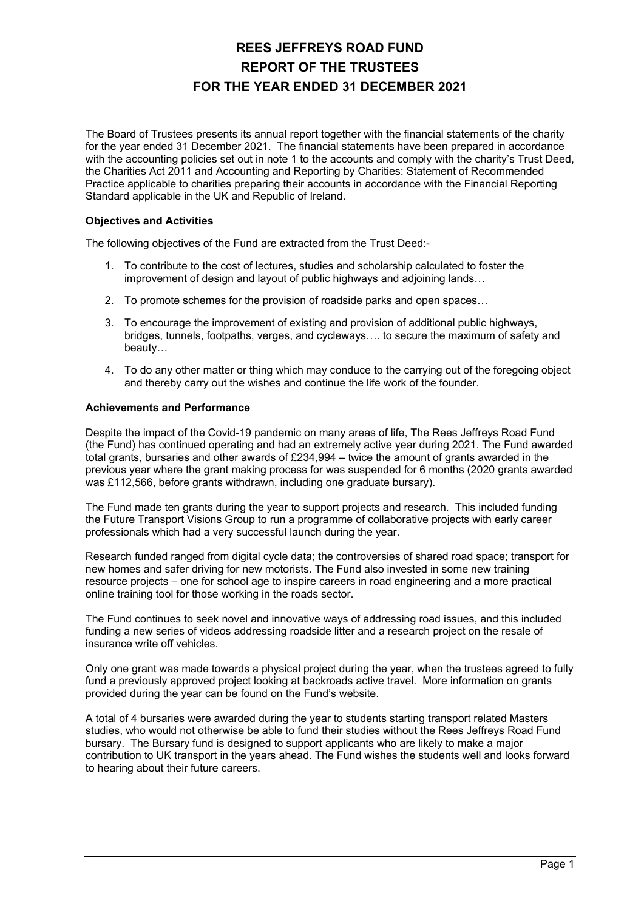The Board of Trustees presents its annual report together with the financial statements of the charity for the year ended 31 December 2021. The financial statements have been prepared in accordance with the accounting policies set out in note 1 to the accounts and comply with the charity's Trust Deed, the Charities Act 2011 and Accounting and Reporting by Charities: Statement of Recommended Practice applicable to charities preparing their accounts in accordance with the Financial Reporting Standard applicable in the UK and Republic of Ireland.

### **Objectives and Activities**

The following objectives of the Fund are extracted from the Trust Deed:-

- 1. To contribute to the cost of lectures, studies and scholarship calculated to foster the improvement of design and layout of public highways and adjoining lands…
- 2. To promote schemes for the provision of roadside parks and open spaces…
- 3. To encourage the improvement of existing and provision of additional public highways, bridges, tunnels, footpaths, verges, and cycleways…. to secure the maximum of safety and beauty…
- 4. To do any other matter or thing which may conduce to the carrying out of the foregoing object and thereby carry out the wishes and continue the life work of the founder.

#### **Achievements and Performance**

Despite the impact of the Covid-19 pandemic on many areas of life, The Rees Jeffreys Road Fund (the Fund) has continued operating and had an extremely active year during 2021. The Fund awarded total grants, bursaries and other awards of £234,994 – twice the amount of grants awarded in the previous year where the grant making process for was suspended for 6 months (2020 grants awarded was £112,566, before grants withdrawn, including one graduate bursary).

The Fund made ten grants during the year to support projects and research. This included funding the Future Transport Visions Group to run a programme of collaborative projects with early career professionals which had a very successful launch during the year.

Research funded ranged from digital cycle data; the controversies of shared road space; transport for new homes and safer driving for new motorists. The Fund also invested in some new training resource projects – one for school age to inspire careers in road engineering and a more practical online training tool for those working in the roads sector.

The Fund continues to seek novel and innovative ways of addressing road issues, and this included funding a new series of videos addressing roadside litter and a research project on the resale of insurance write off vehicles.

Only one grant was made towards a physical project during the year, when the trustees agreed to fully fund a previously approved project looking at backroads active travel. More information on grants provided during the year can be found on the Fund's website.

A total of 4 bursaries were awarded during the year to students starting transport related Masters studies, who would not otherwise be able to fund their studies without the Rees Jeffreys Road Fund bursary. The Bursary fund is designed to support applicants who are likely to make a major contribution to UK transport in the years ahead. The Fund wishes the students well and looks forward to hearing about their future careers.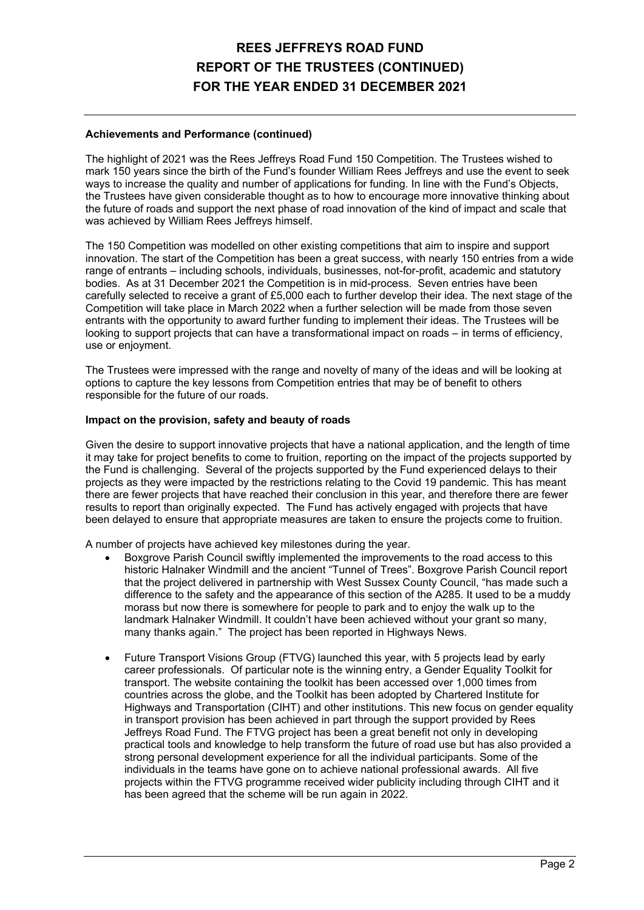### **Achievements and Performance (continued)**

The highlight of 2021 was the Rees Jeffreys Road Fund 150 Competition. The Trustees wished to mark 150 years since the birth of the Fund's founder William Rees Jeffreys and use the event to seek ways to increase the quality and number of applications for funding. In line with the Fund's Objects, the Trustees have given considerable thought as to how to encourage more innovative thinking about the future of roads and support the next phase of road innovation of the kind of impact and scale that was achieved by William Rees Jeffreys himself.

The 150 Competition was modelled on other existing competitions that aim to inspire and support innovation. The start of the Competition has been a great success, with nearly 150 entries from a wide range of entrants – including schools, individuals, businesses, not-for-profit, academic and statutory bodies. As at 31 December 2021 the Competition is in mid-process. Seven entries have been carefully selected to receive a grant of £5,000 each to further develop their idea. The next stage of the Competition will take place in March 2022 when a further selection will be made from those seven entrants with the opportunity to award further funding to implement their ideas. The Trustees will be looking to support projects that can have a transformational impact on roads – in terms of efficiency, use or enjoyment.

The Trustees were impressed with the range and novelty of many of the ideas and will be looking at options to capture the key lessons from Competition entries that may be of benefit to others responsible for the future of our roads.

### **Impact on the provision, safety and beauty of roads**

Given the desire to support innovative projects that have a national application, and the length of time it may take for project benefits to come to fruition, reporting on the impact of the projects supported by the Fund is challenging. Several of the projects supported by the Fund experienced delays to their projects as they were impacted by the restrictions relating to the Covid 19 pandemic. This has meant there are fewer projects that have reached their conclusion in this year, and therefore there are fewer results to report than originally expected. The Fund has actively engaged with projects that have been delayed to ensure that appropriate measures are taken to ensure the projects come to fruition.

A number of projects have achieved key milestones during the year.

- Boxgrove Parish Council swiftly implemented the improvements to the road access to this historic Halnaker Windmill and the ancient "Tunnel of Trees". Boxgrove Parish Council report that the project delivered in partnership with West Sussex County Council, "has made such a difference to the safety and the appearance of this section of the A285. It used to be a muddy morass but now there is somewhere for people to park and to enjoy the walk up to the landmark Halnaker Windmill. It couldn't have been achieved without your grant so many, many thanks again." The project has been reported in Highways News.
- Future Transport Visions Group (FTVG) launched this year, with 5 projects lead by early career professionals. Of particular note is the winning entry, a Gender Equality Toolkit for transport. The website containing the toolkit has been accessed over 1,000 times from countries across the globe, and the Toolkit has been adopted by Chartered Institute for Highways and Transportation (CIHT) and other institutions. This new focus on gender equality in transport provision has been achieved in part through the support provided by Rees Jeffreys Road Fund. The FTVG project has been a great benefit not only in developing practical tools and knowledge to help transform the future of road use but has also provided a strong personal development experience for all the individual participants. Some of the individuals in the teams have gone on to achieve national professional awards. All five projects within the FTVG programme received wider publicity including through CIHT and it has been agreed that the scheme will be run again in 2022.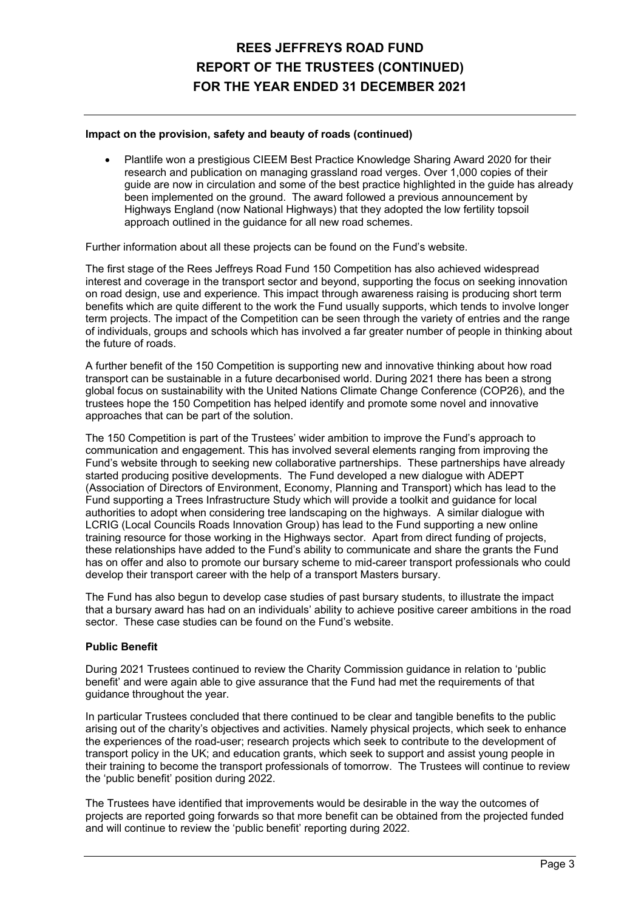### **Impact on the provision, safety and beauty of roads (continued)**

 Plantlife won a prestigious CIEEM Best Practice Knowledge Sharing Award 2020 for their research and publication on managing grassland road verges. Over 1,000 copies of their guide are now in circulation and some of the best practice highlighted in the guide has already been implemented on the ground. The award followed a previous announcement by Highways England (now National Highways) that they adopted the low fertility topsoil approach outlined in the guidance for all new road schemes.

Further information about all these projects can be found on the Fund's website.

The first stage of the Rees Jeffreys Road Fund 150 Competition has also achieved widespread interest and coverage in the transport sector and beyond, supporting the focus on seeking innovation on road design, use and experience. This impact through awareness raising is producing short term benefits which are quite different to the work the Fund usually supports, which tends to involve longer term projects. The impact of the Competition can be seen through the variety of entries and the range of individuals, groups and schools which has involved a far greater number of people in thinking about the future of roads.

A further benefit of the 150 Competition is supporting new and innovative thinking about how road transport can be sustainable in a future decarbonised world. During 2021 there has been a strong global focus on sustainability with the United Nations Climate Change Conference (COP26), and the trustees hope the 150 Competition has helped identify and promote some novel and innovative approaches that can be part of the solution.

The 150 Competition is part of the Trustees' wider ambition to improve the Fund's approach to communication and engagement. This has involved several elements ranging from improving the Fund's website through to seeking new collaborative partnerships. These partnerships have already started producing positive developments. The Fund developed a new dialogue with ADEPT (Association of Directors of Environment, Economy, Planning and Transport) which has lead to the Fund supporting a Trees Infrastructure Study which will provide a toolkit and guidance for local authorities to adopt when considering tree landscaping on the highways. A similar dialogue with LCRIG (Local Councils Roads Innovation Group) has lead to the Fund supporting a new online training resource for those working in the Highways sector. Apart from direct funding of projects, these relationships have added to the Fund's ability to communicate and share the grants the Fund has on offer and also to promote our bursary scheme to mid-career transport professionals who could develop their transport career with the help of a transport Masters bursary.

The Fund has also begun to develop case studies of past bursary students, to illustrate the impact that a bursary award has had on an individuals' ability to achieve positive career ambitions in the road sector. These case studies can be found on the Fund's website.

### **Public Benefit**

During 2021 Trustees continued to review the Charity Commission guidance in relation to 'public benefit' and were again able to give assurance that the Fund had met the requirements of that guidance throughout the year.

In particular Trustees concluded that there continued to be clear and tangible benefits to the public arising out of the charity's objectives and activities. Namely physical projects, which seek to enhance the experiences of the road-user; research projects which seek to contribute to the development of transport policy in the UK; and education grants, which seek to support and assist young people in their training to become the transport professionals of tomorrow. The Trustees will continue to review the 'public benefit' position during 2022.

The Trustees have identified that improvements would be desirable in the way the outcomes of projects are reported going forwards so that more benefit can be obtained from the projected funded and will continue to review the 'public benefit' reporting during 2022.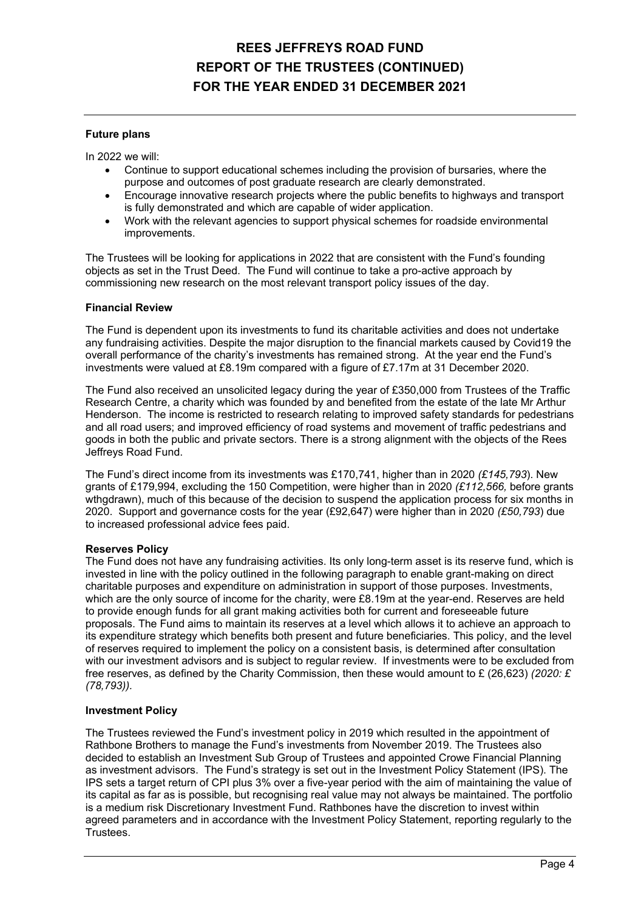### **Future plans**

In 2022 we will:

- Continue to support educational schemes including the provision of bursaries, where the purpose and outcomes of post graduate research are clearly demonstrated.
- Encourage innovative research projects where the public benefits to highways and transport is fully demonstrated and which are capable of wider application.
- Work with the relevant agencies to support physical schemes for roadside environmental improvements.

The Trustees will be looking for applications in 2022 that are consistent with the Fund's founding objects as set in the Trust Deed. The Fund will continue to take a pro-active approach by commissioning new research on the most relevant transport policy issues of the day.

#### **Financial Review**

The Fund is dependent upon its investments to fund its charitable activities and does not undertake any fundraising activities. Despite the major disruption to the financial markets caused by Covid19 the overall performance of the charity's investments has remained strong. At the year end the Fund's investments were valued at £8.19m compared with a figure of £7.17m at 31 December 2020.

The Fund also received an unsolicited legacy during the year of £350,000 from Trustees of the Traffic Research Centre, a charity which was founded by and benefited from the estate of the late Mr Arthur Henderson. The income is restricted to research relating to improved safety standards for pedestrians and all road users; and improved efficiency of road systems and movement of traffic pedestrians and goods in both the public and private sectors. There is a strong alignment with the objects of the Rees Jeffreys Road Fund.

The Fund's direct income from its investments was £170,741, higher than in 2020 *(£145,793*). New grants of £179,994, excluding the 150 Competition, were higher than in 2020 *(£112,566,* before grants wthgdrawn), much of this because of the decision to suspend the application process for six months in 2020. Support and governance costs for the year (£92,647) were higher than in 2020 *(£50,793*) due to increased professional advice fees paid.

### **Reserves Policy**

The Fund does not have any fundraising activities. Its only long-term asset is its reserve fund, which is invested in line with the policy outlined in the following paragraph to enable grant-making on direct charitable purposes and expenditure on administration in support of those purposes. Investments, which are the only source of income for the charity, were £8.19m at the year-end. Reserves are held to provide enough funds for all grant making activities both for current and foreseeable future proposals. The Fund aims to maintain its reserves at a level which allows it to achieve an approach to its expenditure strategy which benefits both present and future beneficiaries. This policy, and the level of reserves required to implement the policy on a consistent basis, is determined after consultation with our investment advisors and is subject to regular review. If investments were to be excluded from free reserves, as defined by the Charity Commission, then these would amount to £ (26,623) *(2020: £ (78,793)).*

### **Investment Policy**

The Trustees reviewed the Fund's investment policy in 2019 which resulted in the appointment of Rathbone Brothers to manage the Fund's investments from November 2019. The Trustees also decided to establish an Investment Sub Group of Trustees and appointed Crowe Financial Planning as investment advisors. The Fund's strategy is set out in the Investment Policy Statement (IPS). The IPS sets a target return of CPI plus 3% over a five-year period with the aim of maintaining the value of its capital as far as is possible, but recognising real value may not always be maintained. The portfolio is a medium risk Discretionary Investment Fund. Rathbones have the discretion to invest within agreed parameters and in accordance with the Investment Policy Statement, reporting regularly to the Trustees.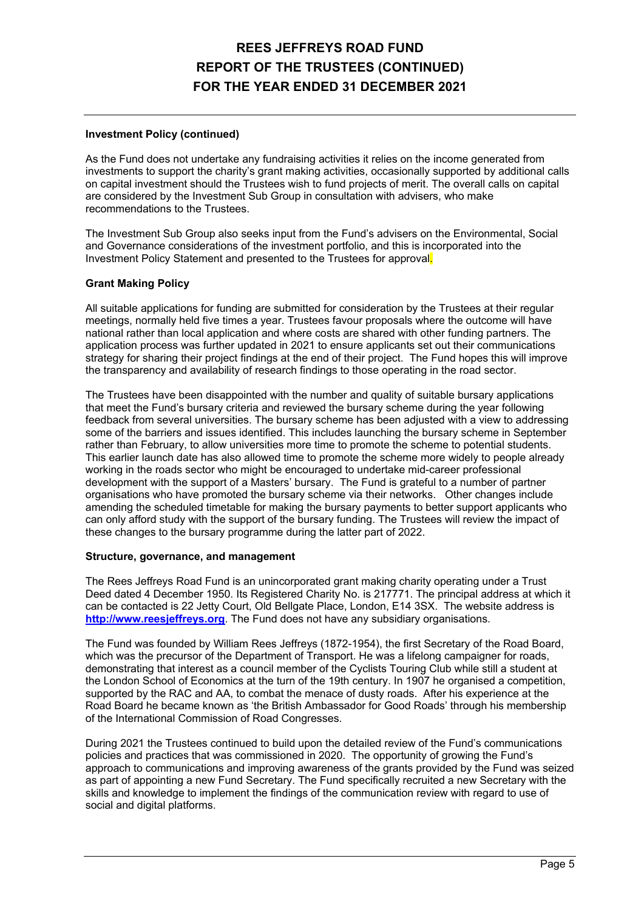### **Investment Policy (continued)**

As the Fund does not undertake any fundraising activities it relies on the income generated from investments to support the charity's grant making activities, occasionally supported by additional calls on capital investment should the Trustees wish to fund projects of merit. The overall calls on capital are considered by the Investment Sub Group in consultation with advisers, who make recommendations to the Trustees.

The Investment Sub Group also seeks input from the Fund's advisers on the Environmental, Social and Governance considerations of the investment portfolio, and this is incorporated into the Investment Policy Statement and presented to the Trustees for approval.

#### **Grant Making Policy**

All suitable applications for funding are submitted for consideration by the Trustees at their regular meetings, normally held five times a year. Trustees favour proposals where the outcome will have national rather than local application and where costs are shared with other funding partners. The application process was further updated in 2021 to ensure applicants set out their communications strategy for sharing their project findings at the end of their project. The Fund hopes this will improve the transparency and availability of research findings to those operating in the road sector.

The Trustees have been disappointed with the number and quality of suitable bursary applications that meet the Fund's bursary criteria and reviewed the bursary scheme during the year following feedback from several universities. The bursary scheme has been adjusted with a view to addressing some of the barriers and issues identified. This includes launching the bursary scheme in September rather than February, to allow universities more time to promote the scheme to potential students. This earlier launch date has also allowed time to promote the scheme more widely to people already working in the roads sector who might be encouraged to undertake mid-career professional development with the support of a Masters' bursary. The Fund is grateful to a number of partner organisations who have promoted the bursary scheme via their networks. Other changes include amending the scheduled timetable for making the bursary payments to better support applicants who can only afford study with the support of the bursary funding. The Trustees will review the impact of these changes to the bursary programme during the latter part of 2022.

#### **Structure, governance, and management**

The Rees Jeffreys Road Fund is an unincorporated grant making charity operating under a Trust Deed dated 4 December 1950. Its Registered Charity No. is 217771. The principal address at which it can be contacted is 22 Jetty Court, Old Bellgate Place, London, E14 3SX. The website address is **http://www.reesjeffreys.org**. The Fund does not have any subsidiary organisations.

The Fund was founded by William Rees Jeffreys (1872-1954), the first Secretary of the Road Board, which was the precursor of the Department of Transport. He was a lifelong campaigner for roads, demonstrating that interest as a council member of the Cyclists Touring Club while still a student at the London School of Economics at the turn of the 19th century. In 1907 he organised a competition, supported by the RAC and AA, to combat the menace of dusty roads. After his experience at the Road Board he became known as 'the British Ambassador for Good Roads' through his membership of the International Commission of Road Congresses.

During 2021 the Trustees continued to build upon the detailed review of the Fund's communications policies and practices that was commissioned in 2020. The opportunity of growing the Fund's approach to communications and improving awareness of the grants provided by the Fund was seized as part of appointing a new Fund Secretary. The Fund specifically recruited a new Secretary with the skills and knowledge to implement the findings of the communication review with regard to use of social and digital platforms.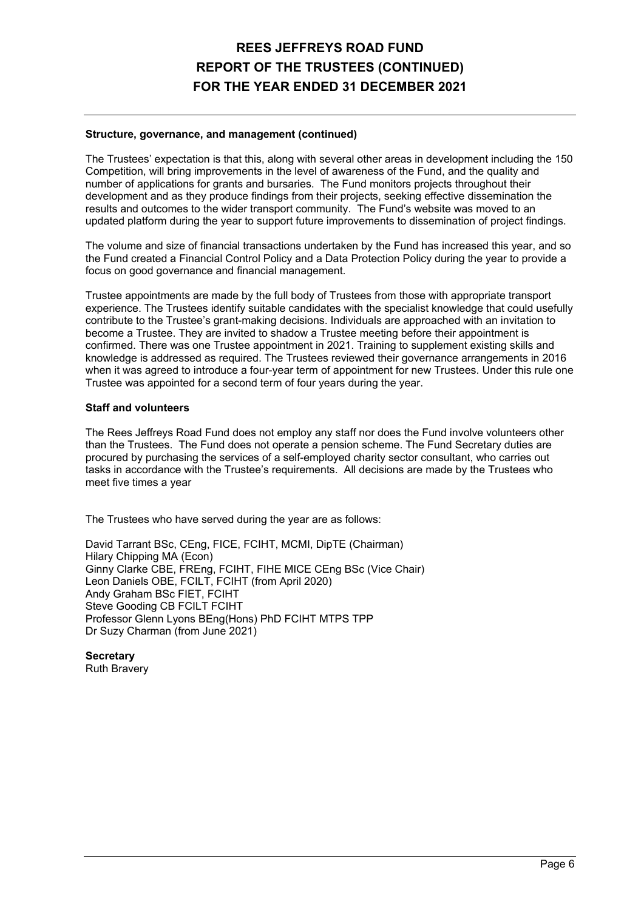### **Structure, governance, and management (continued)**

The Trustees' expectation is that this, along with several other areas in development including the 150 Competition, will bring improvements in the level of awareness of the Fund, and the quality and number of applications for grants and bursaries. The Fund monitors projects throughout their development and as they produce findings from their projects, seeking effective dissemination the results and outcomes to the wider transport community. The Fund's website was moved to an updated platform during the year to support future improvements to dissemination of project findings.

The volume and size of financial transactions undertaken by the Fund has increased this year, and so the Fund created a Financial Control Policy and a Data Protection Policy during the year to provide a focus on good governance and financial management.

Trustee appointments are made by the full body of Trustees from those with appropriate transport experience. The Trustees identify suitable candidates with the specialist knowledge that could usefully contribute to the Trustee's grant-making decisions. Individuals are approached with an invitation to become a Trustee. They are invited to shadow a Trustee meeting before their appointment is confirmed. There was one Trustee appointment in 2021. Training to supplement existing skills and knowledge is addressed as required. The Trustees reviewed their governance arrangements in 2016 when it was agreed to introduce a four-year term of appointment for new Trustees. Under this rule one Trustee was appointed for a second term of four years during the year.

#### **Staff and volunteers**

The Rees Jeffreys Road Fund does not employ any staff nor does the Fund involve volunteers other than the Trustees. The Fund does not operate a pension scheme. The Fund Secretary duties are procured by purchasing the services of a self-employed charity sector consultant, who carries out tasks in accordance with the Trustee's requirements. All decisions are made by the Trustees who meet five times a year

The Trustees who have served during the year are as follows:

David Tarrant BSc, CEng, FICE, FCIHT, MCMI, DipTE (Chairman) Hilary Chipping MA (Econ) Ginny Clarke CBE, FREng, FCIHT, FIHE MICE CEng BSc (Vice Chair) Leon Daniels OBE, FCILT, FCIHT (from April 2020) Andy Graham BSc FIET, FCIHT Steve Gooding CB FCILT FCIHT Professor Glenn Lyons BEng(Hons) PhD FCIHT MTPS TPP Dr Suzy Charman (from June 2021)

**Secretary** 

Ruth Bravery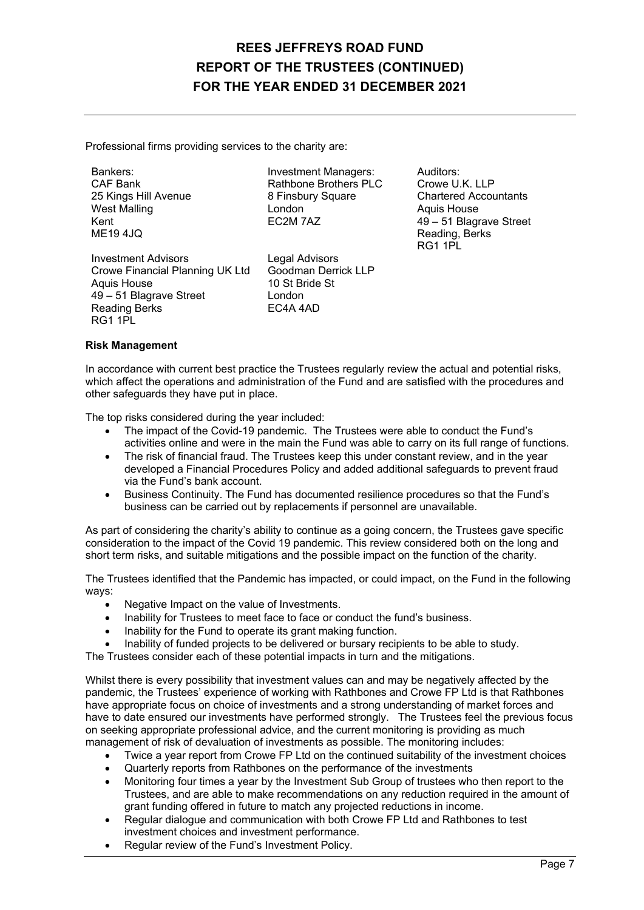Professional firms providing services to the charity are:

Bankers: CAF Bankers: Auditors: Exercise Spankers: Auditors: CAF Bank<br>CAF Bank CAF Bank CAF Bank Brothers PLC Crowe U.

Rathbone Brothers PLC Crowe U.K. LLP<br>8 Finsbury Square Chartered Accou 25 Kings Hill Avenue 8 Finsbury Square Chartered Accountants West Malling **Alling Communist Communist London Aquis House** 

Investment Advisors<br>Crowe Financial Planning UK Ltd Goodman Derrick LLP Crowe Financial Planning UK Ltd Goodman Der<br>Aquis House 10 St Bride St Aquis House 49 – 51 Blagrave Street London<br>Reading Berks FC4A 4AD Reading Berks RG1 1PL

Kent EC2M 7AZ 49 – 51 Blagrave Street Reading, Berks<br>RG1 1PI RG1 1PL

#### **Risk Management**

In accordance with current best practice the Trustees regularly review the actual and potential risks, which affect the operations and administration of the Fund and are satisfied with the procedures and other safeguards they have put in place.

The top risks considered during the year included:

- The impact of the Covid-19 pandemic. The Trustees were able to conduct the Fund's activities online and were in the main the Fund was able to carry on its full range of functions.
- The risk of financial fraud. The Trustees keep this under constant review, and in the year developed a Financial Procedures Policy and added additional safeguards to prevent fraud via the Fund's bank account.
- Business Continuity. The Fund has documented resilience procedures so that the Fund's business can be carried out by replacements if personnel are unavailable.

As part of considering the charity's ability to continue as a going concern, the Trustees gave specific consideration to the impact of the Covid 19 pandemic. This review considered both on the long and short term risks, and suitable mitigations and the possible impact on the function of the charity.

The Trustees identified that the Pandemic has impacted, or could impact, on the Fund in the following ways:

- Negative Impact on the value of Investments.
- Inability for Trustees to meet face to face or conduct the fund's business.
- Inability for the Fund to operate its grant making function.
- Inability of funded projects to be delivered or bursary recipients to be able to study.
- The Trustees consider each of these potential impacts in turn and the mitigations.

Whilst there is every possibility that investment values can and may be negatively affected by the pandemic, the Trustees' experience of working with Rathbones and Crowe FP Ltd is that Rathbones have appropriate focus on choice of investments and a strong understanding of market forces and have to date ensured our investments have performed strongly. The Trustees feel the previous focus on seeking appropriate professional advice, and the current monitoring is providing as much management of risk of devaluation of investments as possible. The monitoring includes:

- Twice a year report from Crowe FP Ltd on the continued suitability of the investment choices
- Quarterly reports from Rathbones on the performance of the investments
- Monitoring four times a year by the Investment Sub Group of trustees who then report to the Trustees, and are able to make recommendations on any reduction required in the amount of grant funding offered in future to match any projected reductions in income.
- Regular dialogue and communication with both Crowe FP Ltd and Rathbones to test investment choices and investment performance.
- Regular review of the Fund's Investment Policy.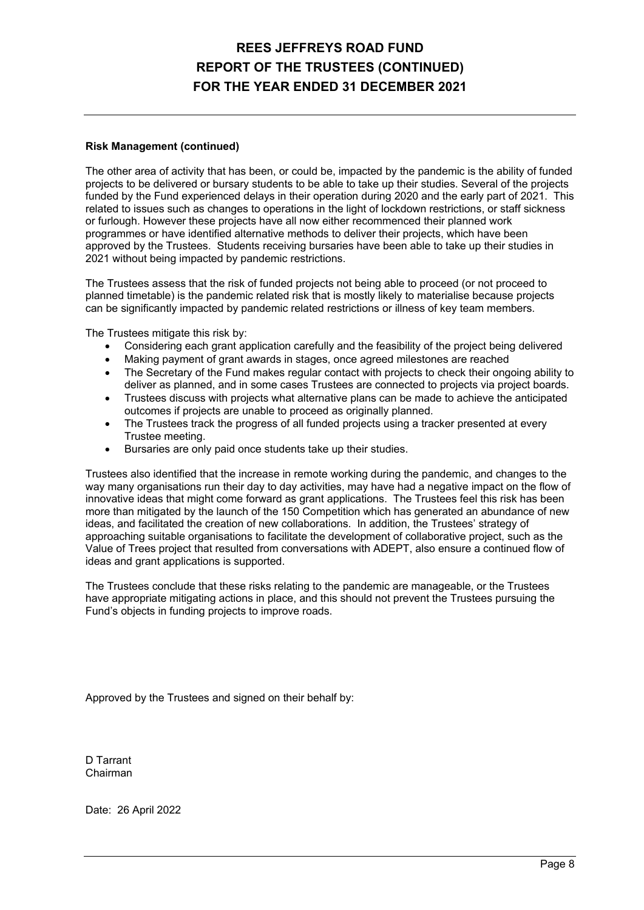### **Risk Management (continued)**

The other area of activity that has been, or could be, impacted by the pandemic is the ability of funded projects to be delivered or bursary students to be able to take up their studies. Several of the projects funded by the Fund experienced delays in their operation during 2020 and the early part of 2021. This related to issues such as changes to operations in the light of lockdown restrictions, or staff sickness or furlough. However these projects have all now either recommenced their planned work programmes or have identified alternative methods to deliver their projects, which have been approved by the Trustees. Students receiving bursaries have been able to take up their studies in 2021 without being impacted by pandemic restrictions.

The Trustees assess that the risk of funded projects not being able to proceed (or not proceed to planned timetable) is the pandemic related risk that is mostly likely to materialise because projects can be significantly impacted by pandemic related restrictions or illness of key team members.

The Trustees mitigate this risk by:

- Considering each grant application carefully and the feasibility of the project being delivered
- Making payment of grant awards in stages, once agreed milestones are reached
- The Secretary of the Fund makes regular contact with projects to check their ongoing ability to deliver as planned, and in some cases Trustees are connected to projects via project boards.
- Trustees discuss with projects what alternative plans can be made to achieve the anticipated outcomes if projects are unable to proceed as originally planned.
- The Trustees track the progress of all funded projects using a tracker presented at every Trustee meeting.
- Bursaries are only paid once students take up their studies.

Trustees also identified that the increase in remote working during the pandemic, and changes to the way many organisations run their day to day activities, may have had a negative impact on the flow of innovative ideas that might come forward as grant applications. The Trustees feel this risk has been more than mitigated by the launch of the 150 Competition which has generated an abundance of new ideas, and facilitated the creation of new collaborations. In addition, the Trustees' strategy of approaching suitable organisations to facilitate the development of collaborative project, such as the Value of Trees project that resulted from conversations with ADEPT, also ensure a continued flow of ideas and grant applications is supported.

The Trustees conclude that these risks relating to the pandemic are manageable, or the Trustees have appropriate mitigating actions in place, and this should not prevent the Trustees pursuing the Fund's objects in funding projects to improve roads.

Approved by the Trustees and signed on their behalf by:

D Tarrant Chairman

Date: 26 April 2022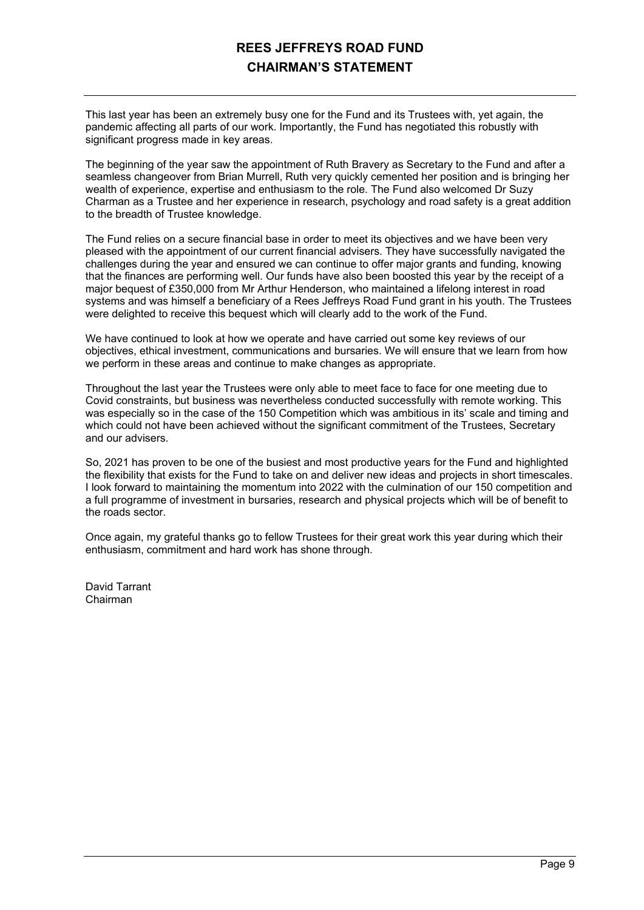# **REES JEFFREYS ROAD FUND CHAIRMAN'S STATEMENT**

This last year has been an extremely busy one for the Fund and its Trustees with, yet again, the pandemic affecting all parts of our work. Importantly, the Fund has negotiated this robustly with significant progress made in key areas.

The beginning of the year saw the appointment of Ruth Bravery as Secretary to the Fund and after a seamless changeover from Brian Murrell, Ruth very quickly cemented her position and is bringing her wealth of experience, expertise and enthusiasm to the role. The Fund also welcomed Dr Suzy Charman as a Trustee and her experience in research, psychology and road safety is a great addition to the breadth of Trustee knowledge.

The Fund relies on a secure financial base in order to meet its objectives and we have been very pleased with the appointment of our current financial advisers. They have successfully navigated the challenges during the year and ensured we can continue to offer major grants and funding, knowing that the finances are performing well. Our funds have also been boosted this year by the receipt of a major bequest of £350,000 from Mr Arthur Henderson, who maintained a lifelong interest in road systems and was himself a beneficiary of a Rees Jeffreys Road Fund grant in his youth. The Trustees were delighted to receive this bequest which will clearly add to the work of the Fund.

We have continued to look at how we operate and have carried out some key reviews of our objectives, ethical investment, communications and bursaries. We will ensure that we learn from how we perform in these areas and continue to make changes as appropriate.

Throughout the last year the Trustees were only able to meet face to face for one meeting due to Covid constraints, but business was nevertheless conducted successfully with remote working. This was especially so in the case of the 150 Competition which was ambitious in its' scale and timing and which could not have been achieved without the significant commitment of the Trustees, Secretary and our advisers.

So, 2021 has proven to be one of the busiest and most productive years for the Fund and highlighted the flexibility that exists for the Fund to take on and deliver new ideas and projects in short timescales. I look forward to maintaining the momentum into 2022 with the culmination of our 150 competition and a full programme of investment in bursaries, research and physical projects which will be of benefit to the roads sector.

Once again, my grateful thanks go to fellow Trustees for their great work this year during which their enthusiasm, commitment and hard work has shone through.

David Tarrant Chairman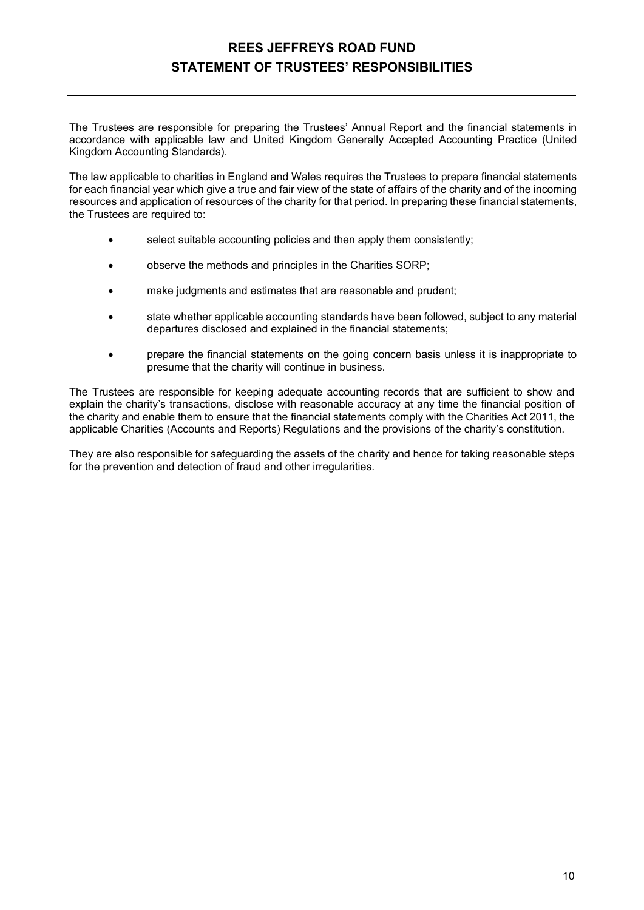# **REES JEFFREYS ROAD FUND STATEMENT OF TRUSTEES' RESPONSIBILITIES**

The Trustees are responsible for preparing the Trustees' Annual Report and the financial statements in accordance with applicable law and United Kingdom Generally Accepted Accounting Practice (United Kingdom Accounting Standards).

The law applicable to charities in England and Wales requires the Trustees to prepare financial statements for each financial year which give a true and fair view of the state of affairs of the charity and of the incoming resources and application of resources of the charity for that period. In preparing these financial statements, the Trustees are required to:

- select suitable accounting policies and then apply them consistently;
- observe the methods and principles in the Charities SORP;
- make judgments and estimates that are reasonable and prudent:
- state whether applicable accounting standards have been followed, subject to any material departures disclosed and explained in the financial statements;
- prepare the financial statements on the going concern basis unless it is inappropriate to presume that the charity will continue in business.

The Trustees are responsible for keeping adequate accounting records that are sufficient to show and explain the charity's transactions, disclose with reasonable accuracy at any time the financial position of the charity and enable them to ensure that the financial statements comply with the Charities Act 2011, the applicable Charities (Accounts and Reports) Regulations and the provisions of the charity's constitution.

They are also responsible for safeguarding the assets of the charity and hence for taking reasonable steps for the prevention and detection of fraud and other irregularities.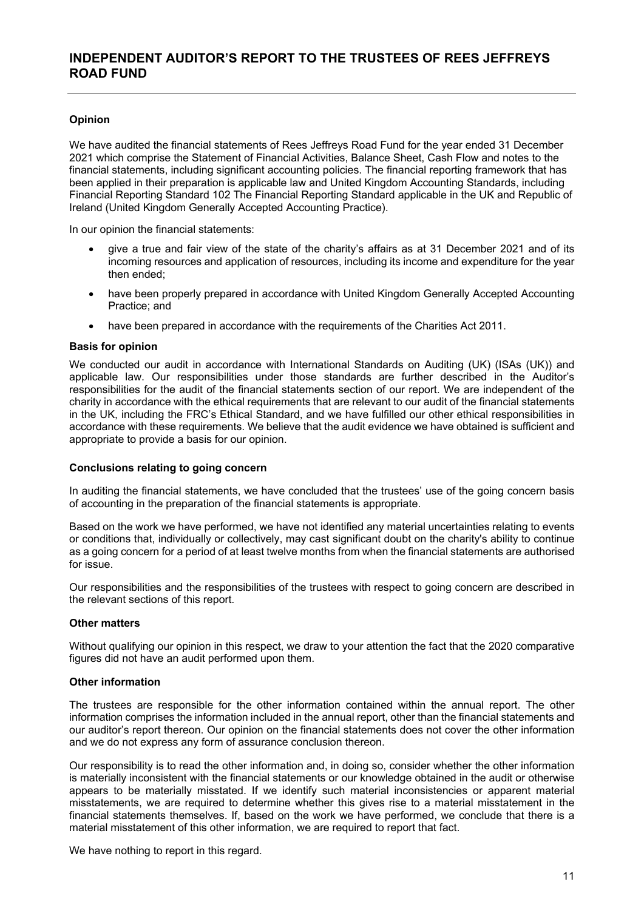## **INDEPENDENT AUDITOR'S REPORT TO THE TRUSTEES OF REES JEFFREYS ROAD FUND**

### **Opinion**

We have audited the financial statements of Rees Jeffreys Road Fund for the year ended 31 December 2021 which comprise the Statement of Financial Activities, Balance Sheet, Cash Flow and notes to the financial statements, including significant accounting policies. The financial reporting framework that has been applied in their preparation is applicable law and United Kingdom Accounting Standards, including Financial Reporting Standard 102 The Financial Reporting Standard applicable in the UK and Republic of Ireland (United Kingdom Generally Accepted Accounting Practice).

In our opinion the financial statements:

- give a true and fair view of the state of the charity's affairs as at 31 December 2021 and of its incoming resources and application of resources, including its income and expenditure for the year then ended;
- have been properly prepared in accordance with United Kingdom Generally Accepted Accounting Practice; and
- have been prepared in accordance with the requirements of the Charities Act 2011.

#### **Basis for opinion**

We conducted our audit in accordance with International Standards on Auditing (UK) (ISAs (UK)) and applicable law. Our responsibilities under those standards are further described in the Auditor's responsibilities for the audit of the financial statements section of our report. We are independent of the charity in accordance with the ethical requirements that are relevant to our audit of the financial statements in the UK, including the FRC's Ethical Standard, and we have fulfilled our other ethical responsibilities in accordance with these requirements. We believe that the audit evidence we have obtained is sufficient and appropriate to provide a basis for our opinion.

#### **Conclusions relating to going concern**

In auditing the financial statements, we have concluded that the trustees' use of the going concern basis of accounting in the preparation of the financial statements is appropriate.

Based on the work we have performed, we have not identified any material uncertainties relating to events or conditions that, individually or collectively, may cast significant doubt on the charity's ability to continue as a going concern for a period of at least twelve months from when the financial statements are authorised for issue.

Our responsibilities and the responsibilities of the trustees with respect to going concern are described in the relevant sections of this report.

#### **Other matters**

Without qualifying our opinion in this respect, we draw to your attention the fact that the 2020 comparative figures did not have an audit performed upon them.

### **Other information**

The trustees are responsible for the other information contained within the annual report. The other information comprises the information included in the annual report, other than the financial statements and our auditor's report thereon. Our opinion on the financial statements does not cover the other information and we do not express any form of assurance conclusion thereon.

Our responsibility is to read the other information and, in doing so, consider whether the other information is materially inconsistent with the financial statements or our knowledge obtained in the audit or otherwise appears to be materially misstated. If we identify such material inconsistencies or apparent material misstatements, we are required to determine whether this gives rise to a material misstatement in the financial statements themselves. If, based on the work we have performed, we conclude that there is a material misstatement of this other information, we are required to report that fact.

We have nothing to report in this regard.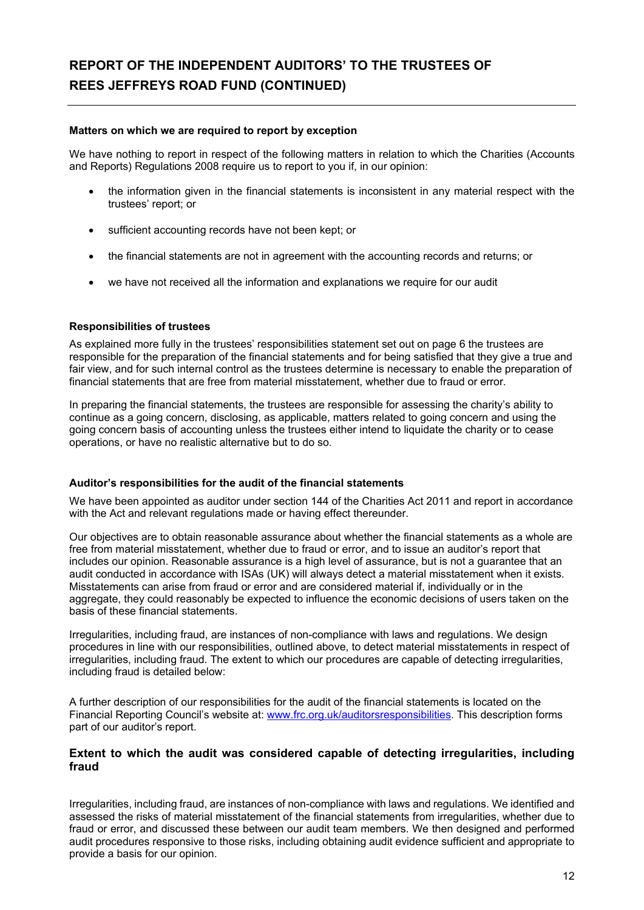# **REPORT OF THE INDEPENDENT AUDITORS' TO THE TRUSTEES OF REES JEFFREYS ROAD FUND (CONTINUED)**

#### **Matters on which we are required to report by exception**

We have nothing to report in respect of the following matters in relation to which the Charities (Accounts and Reports) Regulations 2008 require us to report to you if, in our opinion:

- the information given in the financial statements is inconsistent in any material respect with the trustees' report; or
- sufficient accounting records have not been kept; or
- the financial statements are not in agreement with the accounting records and returns; or
- we have not received all the information and explanations we require for our audit

### **Responsibilities of trustees**

As explained more fully in the trustees' responsibilities statement set out on page 6 the trustees are responsible for the preparation of the financial statements and for being satisfied that they give a true and fair view, and for such internal control as the trustees determine is necessary to enable the preparation of financial statements that are free from material misstatement, whether due to fraud or error.

In preparing the financial statements, the trustees are responsible for assessing the charity's ability to continue as a going concern, disclosing, as applicable, matters related to going concern and using the going concern basis of accounting unless the trustees either intend to liquidate the charity or to cease operations, or have no realistic alternative but to do so.

#### **Auditor's responsibilities for the audit of the financial statements**

We have been appointed as auditor under section 144 of the Charities Act 2011 and report in accordance with the Act and relevant regulations made or having effect thereunder.

Our objectives are to obtain reasonable assurance about whether the financial statements as a whole are free from material misstatement, whether due to fraud or error, and to issue an auditor's report that includes our opinion. Reasonable assurance is a high level of assurance, but is not a guarantee that an audit conducted in accordance with ISAs (UK) will always detect a material misstatement when it exists. Misstatements can arise from fraud or error and are considered material if, individually or in the aggregate, they could reasonably be expected to influence the economic decisions of users taken on the basis of these financial statements.

Irregularities, including fraud, are instances of non-compliance with laws and regulations. We design procedures in line with our responsibilities, outlined above, to detect material misstatements in respect of irregularities, including fraud. The extent to which our procedures are capable of detecting irregularities, including fraud is detailed below:

A further description of our responsibilities for the audit of the financial statements is located on the Financial Reporting Council's website at: www.frc.org.uk/auditorsresponsibilities. This description forms part of our auditor's report.

### **Extent to which the audit was considered capable of detecting irregularities, including fraud**

Irregularities, including fraud, are instances of non-compliance with laws and regulations. We identified and assessed the risks of material misstatement of the financial statements from irregularities, whether due to fraud or error, and discussed these between our audit team members. We then designed and performed audit procedures responsive to those risks, including obtaining audit evidence sufficient and appropriate to provide a basis for our opinion.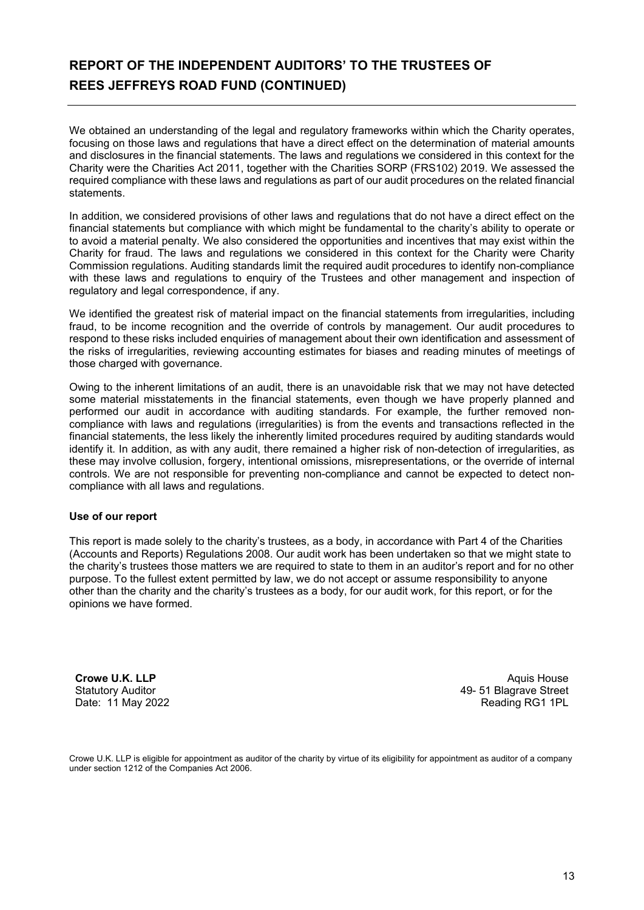# **REPORT OF THE INDEPENDENT AUDITORS' TO THE TRUSTEES OF REES JEFFREYS ROAD FUND (CONTINUED)**

We obtained an understanding of the legal and regulatory frameworks within which the Charity operates, focusing on those laws and regulations that have a direct effect on the determination of material amounts and disclosures in the financial statements. The laws and regulations we considered in this context for the Charity were the Charities Act 2011, together with the Charities SORP (FRS102) 2019. We assessed the required compliance with these laws and regulations as part of our audit procedures on the related financial statements.

In addition, we considered provisions of other laws and regulations that do not have a direct effect on the financial statements but compliance with which might be fundamental to the charity's ability to operate or to avoid a material penalty. We also considered the opportunities and incentives that may exist within the Charity for fraud. The laws and regulations we considered in this context for the Charity were Charity Commission regulations. Auditing standards limit the required audit procedures to identify non-compliance with these laws and regulations to enquiry of the Trustees and other management and inspection of regulatory and legal correspondence, if any.

We identified the greatest risk of material impact on the financial statements from irregularities, including fraud, to be income recognition and the override of controls by management. Our audit procedures to respond to these risks included enquiries of management about their own identification and assessment of the risks of irregularities, reviewing accounting estimates for biases and reading minutes of meetings of those charged with governance.

Owing to the inherent limitations of an audit, there is an unavoidable risk that we may not have detected some material misstatements in the financial statements, even though we have properly planned and performed our audit in accordance with auditing standards. For example, the further removed noncompliance with laws and regulations (irregularities) is from the events and transactions reflected in the financial statements, the less likely the inherently limited procedures required by auditing standards would identify it. In addition, as with any audit, there remained a higher risk of non-detection of irregularities, as these may involve collusion, forgery, intentional omissions, misrepresentations, or the override of internal controls. We are not responsible for preventing non-compliance and cannot be expected to detect noncompliance with all laws and regulations.

### **Use of our report**

This report is made solely to the charity's trustees, as a body, in accordance with Part 4 of the Charities (Accounts and Reports) Regulations 2008. Our audit work has been undertaken so that we might state to the charity's trustees those matters we are required to state to them in an auditor's report and for no other purpose. To the fullest extent permitted by law, we do not accept or assume responsibility to anyone other than the charity and the charity's trustees as a body, for our audit work, for this report, or for the opinions we have formed.

**Crowe U.K. LLP**  Statutory Auditor Date: 11 May 2022

Aquis House 49- 51 Blagrave Street Reading RG1 1PL

Crowe U.K. LLP is eligible for appointment as auditor of the charity by virtue of its eligibility for appointment as auditor of a company under section 1212 of the Companies Act 2006.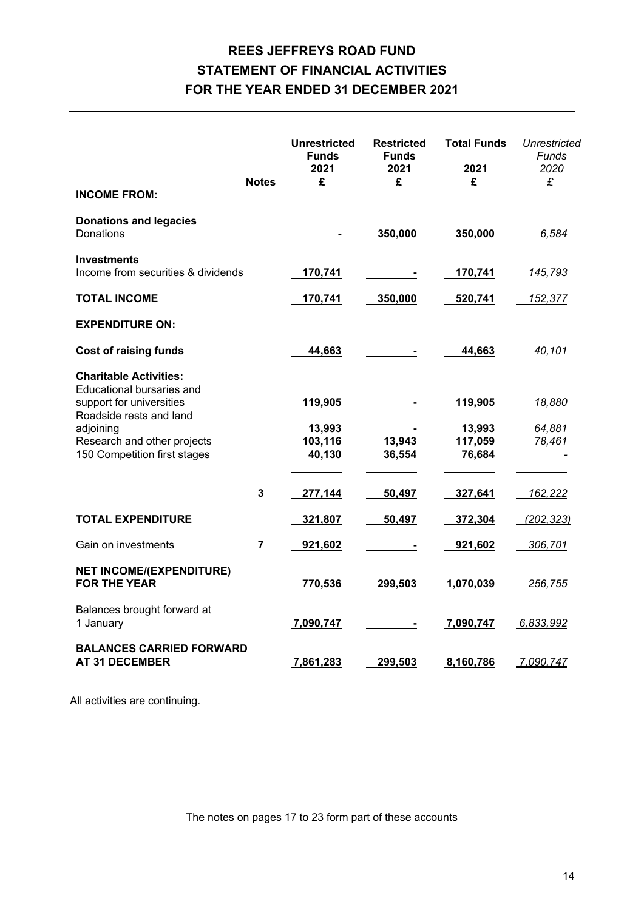# **REES JEFFREYS ROAD FUND STATEMENT OF FINANCIAL ACTIVITIES FOR THE YEAR ENDED 31 DECEMBER 2021**

| <b>INCOME FROM:</b>                                                                                                                                                                           | <b>Notes</b>   | <b>Unrestricted</b><br><b>Funds</b><br>2021<br>£ | <b>Restricted</b><br><b>Funds</b><br>2021<br>£ | <b>Total Funds</b><br>2021<br>£        | Unrestricted<br>Funds<br>2020<br>£ |
|-----------------------------------------------------------------------------------------------------------------------------------------------------------------------------------------------|----------------|--------------------------------------------------|------------------------------------------------|----------------------------------------|------------------------------------|
| <b>Donations and legacies</b><br>Donations                                                                                                                                                    |                |                                                  | 350,000                                        | 350,000                                | 6,584                              |
| <b>Investments</b><br>Income from securities & dividends                                                                                                                                      |                | 170,741                                          |                                                | 170,741                                | <u>145,793</u>                     |
| <b>TOTAL INCOME</b>                                                                                                                                                                           |                | 170,741                                          | 350,000                                        | 520,741                                | <u>152,377</u>                     |
| <b>EXPENDITURE ON:</b>                                                                                                                                                                        |                |                                                  |                                                |                                        |                                    |
| <b>Cost of raising funds</b>                                                                                                                                                                  |                | 44,663                                           |                                                | 44,663                                 | 40.101                             |
| <b>Charitable Activities:</b><br>Educational bursaries and<br>support for universities<br>Roadside rests and land<br>adjoining<br>Research and other projects<br>150 Competition first stages |                | 119,905<br>13,993<br>103,116<br>40,130           | 13,943<br>36,554                               | 119,905<br>13,993<br>117,059<br>76,684 | 18,880<br>64,881<br>78,461         |
|                                                                                                                                                                                               | 3              | 277,144                                          | 50,497                                         | 327,641                                | 162,222                            |
| <b>TOTAL EXPENDITURE</b>                                                                                                                                                                      |                | 321,807                                          | 50,497                                         | 372,304                                | (202, 323)                         |
| Gain on investments                                                                                                                                                                           | $\overline{7}$ | 921,602                                          |                                                | 921,602                                | 306,701                            |
| <b>NET INCOME/(EXPENDITURE)</b><br><b>FOR THE YEAR</b>                                                                                                                                        |                | 770,536                                          | 299,503                                        | 1,070,039                              | 256,755                            |
| Balances brought forward at<br>1 January                                                                                                                                                      |                | 7,090,747                                        |                                                | 7,090,747                              | 6,833,992                          |
| <b>BALANCES CARRIED FORWARD</b><br><b>AT 31 DECEMBER</b>                                                                                                                                      |                | 7,861,283                                        | 299,503                                        | 8,160,786                              | 7,090,747                          |

All activities are continuing.

The notes on pages 17 to 23 form part of these accounts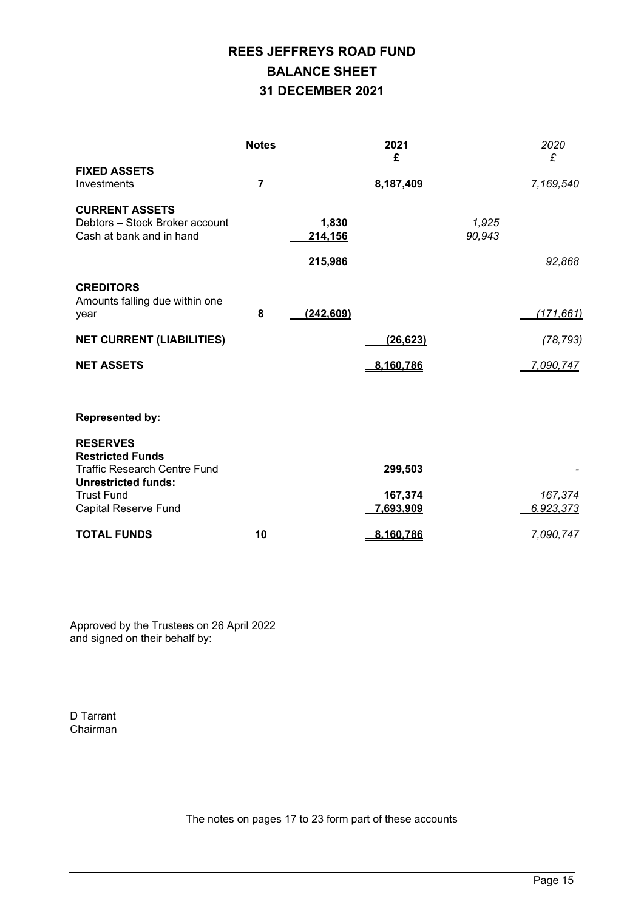# **REES JEFFREYS ROAD FUND BALANCE SHEET 31 DECEMBER 2021**

|                                                                                              | <b>Notes</b>   |                             | 2021<br>£            |                 | 2020<br>£            |
|----------------------------------------------------------------------------------------------|----------------|-----------------------------|----------------------|-----------------|----------------------|
| <b>FIXED ASSETS</b><br>Investments                                                           | $\overline{7}$ |                             | 8,187,409            |                 | 7,169,540            |
| <b>CURRENT ASSETS</b><br>Debtors - Stock Broker account<br>Cash at bank and in hand          |                | 1,830<br>214,156<br>215,986 |                      | 1,925<br>90,943 | 92,868               |
| <b>CREDITORS</b><br>Amounts falling due within one<br>year                                   | 8              | (242, 609)                  |                      |                 | (171, 661)           |
| <b>NET CURRENT (LIABILITIES)</b>                                                             |                |                             | (26, 623)            |                 | (78, 793)            |
| <b>NET ASSETS</b>                                                                            |                |                             | 8,160,786            |                 | 7,090,747            |
| <b>Represented by:</b><br><b>RESERVES</b>                                                    |                |                             |                      |                 |                      |
| <b>Restricted Funds</b><br><b>Traffic Research Centre Fund</b><br><b>Unrestricted funds:</b> |                |                             | 299,503              |                 |                      |
| <b>Trust Fund</b><br>Capital Reserve Fund                                                    |                |                             | 167,374<br>7,693,909 |                 | 167,374<br>6,923,373 |
| <b>TOTAL FUNDS</b>                                                                           | 10             |                             | 8,160,786            |                 | 7,090,747            |

Approved by the Trustees on 26 April 2022 and signed on their behalf by:

D Tarrant Chairman

The notes on pages 17 to 23 form part of these accounts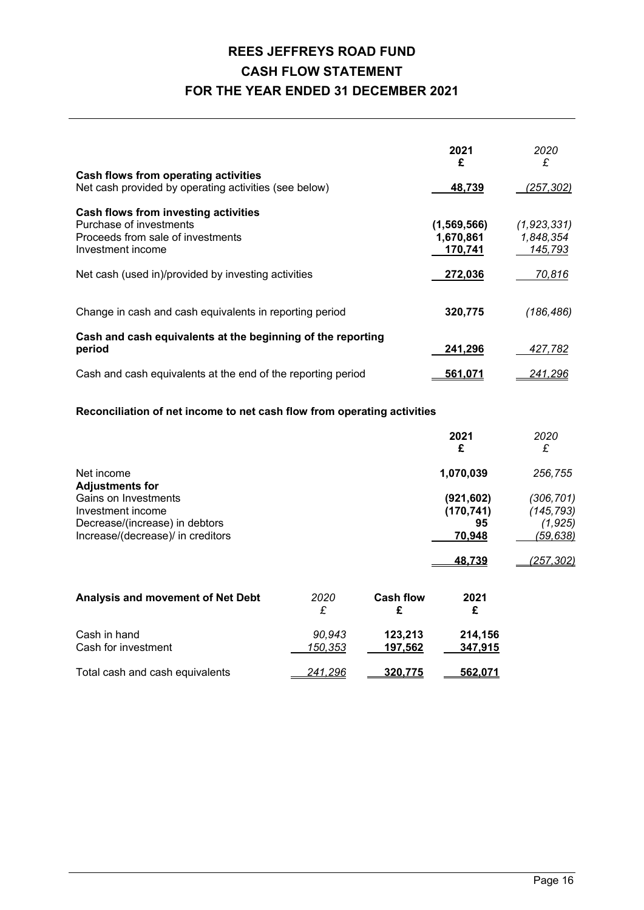# **REES JEFFREYS ROAD FUND CASH FLOW STATEMENT FOR THE YEAR ENDED 31 DECEMBER 2021**

|                                                              | 2021<br>£      | 2020<br>£   |
|--------------------------------------------------------------|----------------|-------------|
| Cash flows from operating activities                         |                |             |
| Net cash provided by operating activities (see below)        | 48,739         | (257, 302)  |
| Cash flows from investing activities                         |                |             |
| Purchase of investments                                      | (1,569,566)    | (1,923,331) |
| Proceeds from sale of investments                            | 1,670,861      | 1,848,354   |
| Investment income                                            | 170,741        | 145,793     |
| Net cash (used in)/provided by investing activities          | 272,036        | 70,816      |
| Change in cash and cash equivalents in reporting period      | 320,775        | (186, 486)  |
| Cash and cash equivalents at the beginning of the reporting  |                |             |
| period                                                       | 241,296        | 427,782     |
| Cash and cash equivalents at the end of the reporting period | <u>561.071</u> | 241,296     |

### **Reconciliation of net income to net cash flow from operating activities**

|                                                                                                                                            |                   |                    | 2021<br>£                                                 | 2020<br>£                                                      |
|--------------------------------------------------------------------------------------------------------------------------------------------|-------------------|--------------------|-----------------------------------------------------------|----------------------------------------------------------------|
| Net income                                                                                                                                 |                   |                    | 1,070,039                                                 | 256,755                                                        |
| <b>Adjustments for</b><br>Gains on Investments<br>Investment income<br>Decrease/(increase) in debtors<br>Increase/(decrease)/ in creditors |                   |                    | (921, 602)<br>(170, 741)<br>95<br>70,948<br><u>48.739</u> | (306, 701)<br>(145, 793)<br>(1, 925)<br>(59,638)<br>(257, 302) |
| Analysis and movement of Net Debt                                                                                                          | 2020              | <b>Cash flow</b>   | 2021                                                      |                                                                |
|                                                                                                                                            | £                 | £                  | £                                                         |                                                                |
| Cash in hand<br>Cash for investment                                                                                                        | 90,943<br>150,353 | 123,213<br>197,562 | 214,156<br>347,915                                        |                                                                |

| Total cash and cash equivalents | $-241,296$ | ____320.775 | 562.071 |
|---------------------------------|------------|-------------|---------|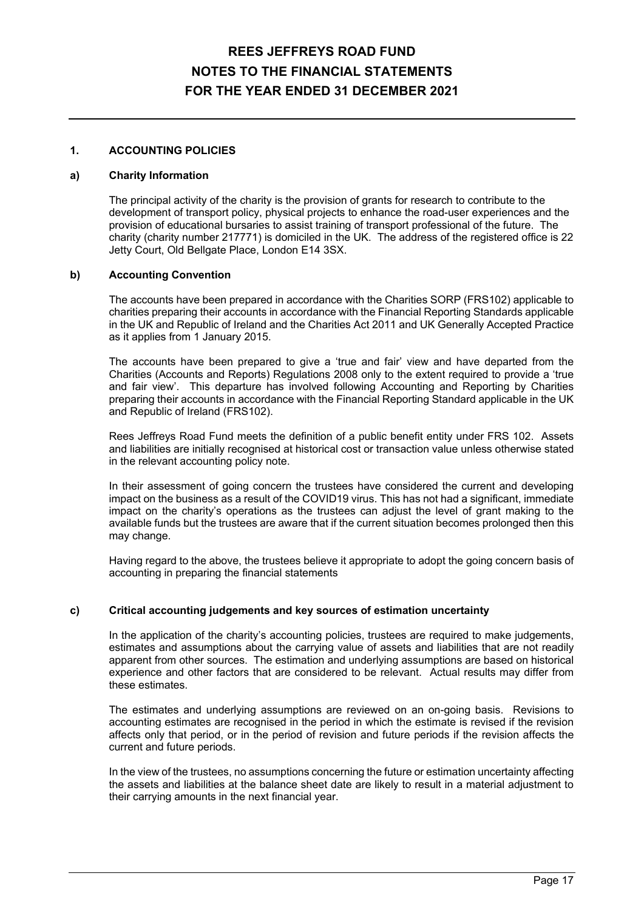### **1. ACCOUNTING POLICIES**

#### **a) Charity Information**

 The principal activity of the charity is the provision of grants for research to contribute to the development of transport policy, physical projects to enhance the road-user experiences and the provision of educational bursaries to assist training of transport professional of the future. The charity (charity number 217771) is domiciled in the UK. The address of the registered office is 22 Jetty Court, Old Bellgate Place, London E14 3SX.

#### **b) Accounting Convention**

 The accounts have been prepared in accordance with the Charities SORP (FRS102) applicable to charities preparing their accounts in accordance with the Financial Reporting Standards applicable in the UK and Republic of Ireland and the Charities Act 2011 and UK Generally Accepted Practice as it applies from 1 January 2015.

 The accounts have been prepared to give a 'true and fair' view and have departed from the Charities (Accounts and Reports) Regulations 2008 only to the extent required to provide a 'true and fair view'. This departure has involved following Accounting and Reporting by Charities preparing their accounts in accordance with the Financial Reporting Standard applicable in the UK and Republic of Ireland (FRS102).

 Rees Jeffreys Road Fund meets the definition of a public benefit entity under FRS 102. Assets and liabilities are initially recognised at historical cost or transaction value unless otherwise stated in the relevant accounting policy note.

 In their assessment of going concern the trustees have considered the current and developing impact on the business as a result of the COVID19 virus. This has not had a significant, immediate impact on the charity's operations as the trustees can adjust the level of grant making to the available funds but the trustees are aware that if the current situation becomes prolonged then this may change.

 Having regard to the above, the trustees believe it appropriate to adopt the going concern basis of accounting in preparing the financial statements

### **c) Critical accounting judgements and key sources of estimation uncertainty**

 In the application of the charity's accounting policies, trustees are required to make judgements, estimates and assumptions about the carrying value of assets and liabilities that are not readily apparent from other sources. The estimation and underlying assumptions are based on historical experience and other factors that are considered to be relevant. Actual results may differ from these estimates.

 The estimates and underlying assumptions are reviewed on an on-going basis. Revisions to accounting estimates are recognised in the period in which the estimate is revised if the revision affects only that period, or in the period of revision and future periods if the revision affects the current and future periods.

 In the view of the trustees, no assumptions concerning the future or estimation uncertainty affecting the assets and liabilities at the balance sheet date are likely to result in a material adjustment to their carrying amounts in the next financial year.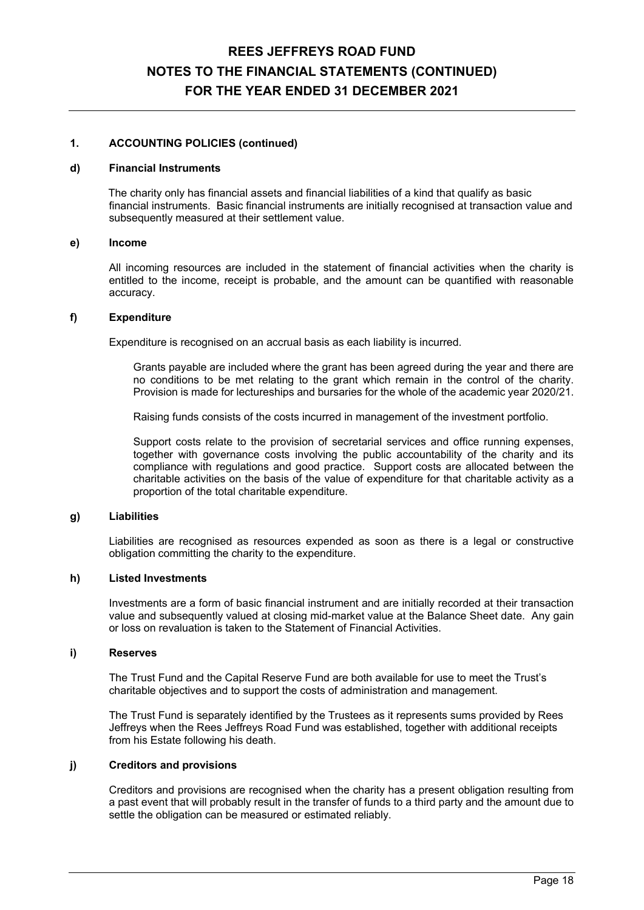#### **1. ACCOUNTING POLICIES (continued)**

#### **d) Financial Instruments**

The charity only has financial assets and financial liabilities of a kind that qualify as basic financial instruments. Basic financial instruments are initially recognised at transaction value and subsequently measured at their settlement value.

#### **e) Income**

 All incoming resources are included in the statement of financial activities when the charity is entitled to the income, receipt is probable, and the amount can be quantified with reasonable accuracy.

#### **f) Expenditure**

Expenditure is recognised on an accrual basis as each liability is incurred.

 Grants payable are included where the grant has been agreed during the year and there are no conditions to be met relating to the grant which remain in the control of the charity. Provision is made for lectureships and bursaries for the whole of the academic year 2020/21.

Raising funds consists of the costs incurred in management of the investment portfolio.

 Support costs relate to the provision of secretarial services and office running expenses, together with governance costs involving the public accountability of the charity and its compliance with regulations and good practice. Support costs are allocated between the charitable activities on the basis of the value of expenditure for that charitable activity as a proportion of the total charitable expenditure.

#### **g) Liabilities**

 Liabilities are recognised as resources expended as soon as there is a legal or constructive obligation committing the charity to the expenditure.

#### **h) Listed Investments**

 Investments are a form of basic financial instrument and are initially recorded at their transaction value and subsequently valued at closing mid-market value at the Balance Sheet date. Any gain or loss on revaluation is taken to the Statement of Financial Activities.

#### **i) Reserves**

The Trust Fund and the Capital Reserve Fund are both available for use to meet the Trust's charitable objectives and to support the costs of administration and management.

The Trust Fund is separately identified by the Trustees as it represents sums provided by Rees Jeffreys when the Rees Jeffreys Road Fund was established, together with additional receipts from his Estate following his death.

### **j) Creditors and provisions**

 Creditors and provisions are recognised when the charity has a present obligation resulting from a past event that will probably result in the transfer of funds to a third party and the amount due to settle the obligation can be measured or estimated reliably.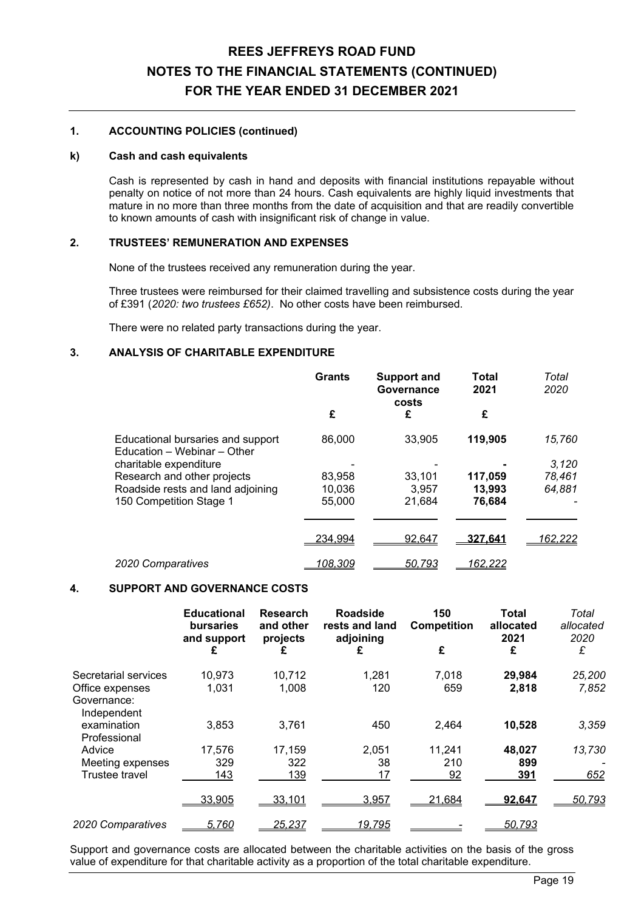### **1. ACCOUNTING POLICIES (continued)**

#### **k) Cash and cash equivalents**

 Cash is represented by cash in hand and deposits with financial institutions repayable without penalty on notice of not more than 24 hours. Cash equivalents are highly liquid investments that mature in no more than three months from the date of acquisition and that are readily convertible to known amounts of cash with insignificant risk of change in value.

### **2. TRUSTEES' REMUNERATION AND EXPENSES**

None of the trustees received any remuneration during the year.

 Three trustees were reimbursed for their claimed travelling and subsistence costs during the year of £391 (*2020: two trustees £652)*. No other costs have been reimbursed.

There were no related party transactions during the year.

### **3. ANALYSIS OF CHARITABLE EXPENDITURE**

|                                                                  | <b>Grants</b>  | <b>Support and</b><br>Governance<br>costs | Total<br>2021  | Total<br>2020   |
|------------------------------------------------------------------|----------------|-------------------------------------------|----------------|-----------------|
|                                                                  | £              | £                                         | £              |                 |
| Educational bursaries and support<br>Education - Webinar - Other | 86,000         | 33,905                                    | 119,905        | 15,760          |
| charitable expenditure                                           |                |                                           |                | 3,120           |
| Research and other projects                                      | 83,958         | 33.101                                    | 117,059        | 78,461          |
| Roadside rests and land adjoining                                | 10,036         | 3.957                                     | 13,993         | 64,881          |
| 150 Competition Stage 1                                          | 55,000         | 21,684                                    | 76,684         |                 |
|                                                                  | <u>234,994</u> | 92,647                                    | <u>327.641</u> | <u> 162,222</u> |
| 2020 Comparatives                                                | 108,309        | 50,793                                    | '62.222        |                 |

### **4. SUPPORT AND GOVERNANCE COSTS**

|                                               | <b>Educational</b><br><b>bursaries</b><br>and support | <b>Research</b><br>and other<br>projects | Roadside<br>rests and land<br>adjoining | 150<br><b>Competition</b> | <b>Total</b><br>allocated<br>2021 | Total<br>allocated<br>2020 |
|-----------------------------------------------|-------------------------------------------------------|------------------------------------------|-----------------------------------------|---------------------------|-----------------------------------|----------------------------|
|                                               | £                                                     | £                                        | £                                       | £                         | £                                 | £                          |
| Secretarial services                          | 10,973                                                | 10,712                                   | 1,281                                   | 7,018                     | 29,984                            | 25,200                     |
| Office expenses<br>Governance:<br>Independent | 1,031                                                 | 1,008                                    | 120                                     | 659                       | 2,818                             | 7,852                      |
| examination<br>Professional                   | 3,853                                                 | 3,761                                    | 450                                     | 2,464                     | 10,528                            | 3,359                      |
| Advice                                        | 17,576                                                | 17,159                                   | 2,051                                   | 11,241                    | 48,027                            | 13,730                     |
| Meeting expenses                              | 329                                                   | 322                                      | 38                                      | 210                       | 899                               |                            |
| Trustee travel                                | 143                                                   | 139                                      | 17                                      | 92                        | 391                               | 652                        |
|                                               | 33,905                                                | 33,101                                   | 3,957                                   | 21,684                    | 92,647                            | 50,793                     |
| 2020 Comparatives                             | 5.760                                                 | 25,237                                   | 19,795                                  |                           | 50.793                            |                            |

Support and governance costs are allocated between the charitable activities on the basis of the gross value of expenditure for that charitable activity as a proportion of the total charitable expenditure.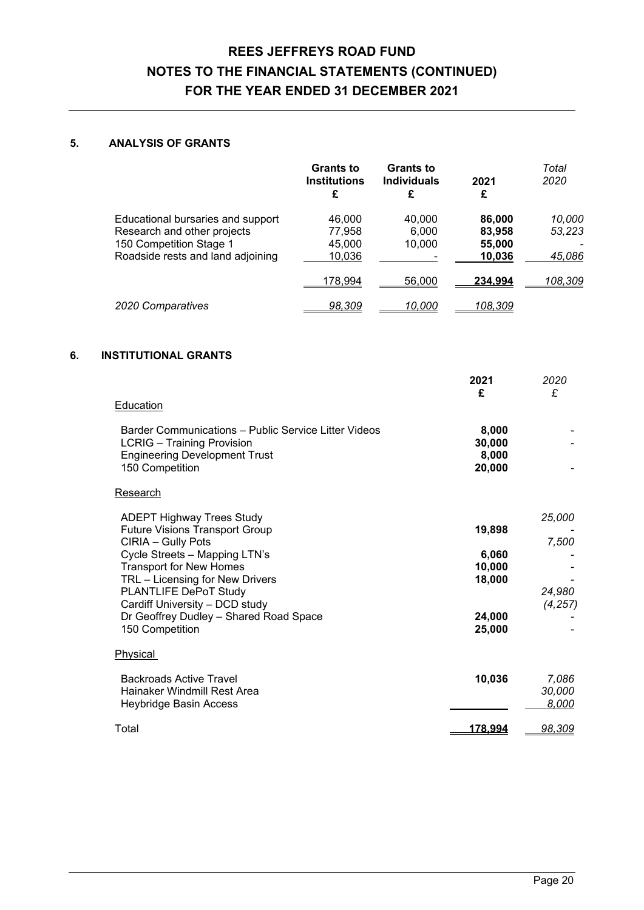### **5. ANALYSIS OF GRANTS**

|                                   | <b>Grants to</b><br><b>Institutions</b><br>£ | <b>Grants to</b><br><b>Individuals</b> | 2021<br>£        | Total<br>2020 |
|-----------------------------------|----------------------------------------------|----------------------------------------|------------------|---------------|
| Educational bursaries and support | 46.000                                       | 40.000                                 | 86,000           | 10,000        |
| Research and other projects       | 77,958                                       | 6.000                                  | 83,958           | 53,223        |
| 150 Competition Stage 1           | 45.000                                       | 10.000                                 | 55,000           |               |
| Roadside rests and land adjoining | 10,036                                       |                                        | 10,036           | 45,086        |
|                                   | 178,994                                      | 56,000                                 | <u>234.994</u>   | 108,309       |
| 2020 Comparatives                 | <u>98,309</u>                                | <u> 10.000</u>                         | <u> 108.309 </u> |               |

### **6. INSTITUTIONAL GRANTS**

|                                                                 | 2021<br>£       | 2020<br>£ |
|-----------------------------------------------------------------|-----------------|-----------|
| Education                                                       |                 |           |
| Barder Communications - Public Service Litter Videos            | 8,000           |           |
| <b>LCRIG</b> - Training Provision                               | 30,000          |           |
| <b>Engineering Development Trust</b><br>150 Competition         | 8,000<br>20,000 |           |
|                                                                 |                 |           |
| Research                                                        |                 |           |
| <b>ADEPT Highway Trees Study</b>                                |                 | 25,000    |
| <b>Future Visions Transport Group</b>                           | 19,898          |           |
| CIRIA - Gully Pots                                              |                 | 7,500     |
| Cycle Streets - Mapping LTN's<br><b>Transport for New Homes</b> | 6,060<br>10,000 |           |
| TRL - Licensing for New Drivers                                 | 18,000          |           |
| PLANTLIFE DePoT Study                                           |                 | 24,980    |
| Cardiff University - DCD study                                  |                 | (4, 257)  |
| Dr Geoffrey Dudley - Shared Road Space                          | 24,000          |           |
| 150 Competition                                                 | 25,000          |           |
| Physical                                                        |                 |           |
| <b>Backroads Active Travel</b>                                  | 10,036          | 7,086     |
| Hainaker Windmill Rest Area                                     |                 | 30,000    |
| <b>Heybridge Basin Access</b>                                   |                 | 8,000     |
| Total                                                           | <u>178,994</u>  | 98,309    |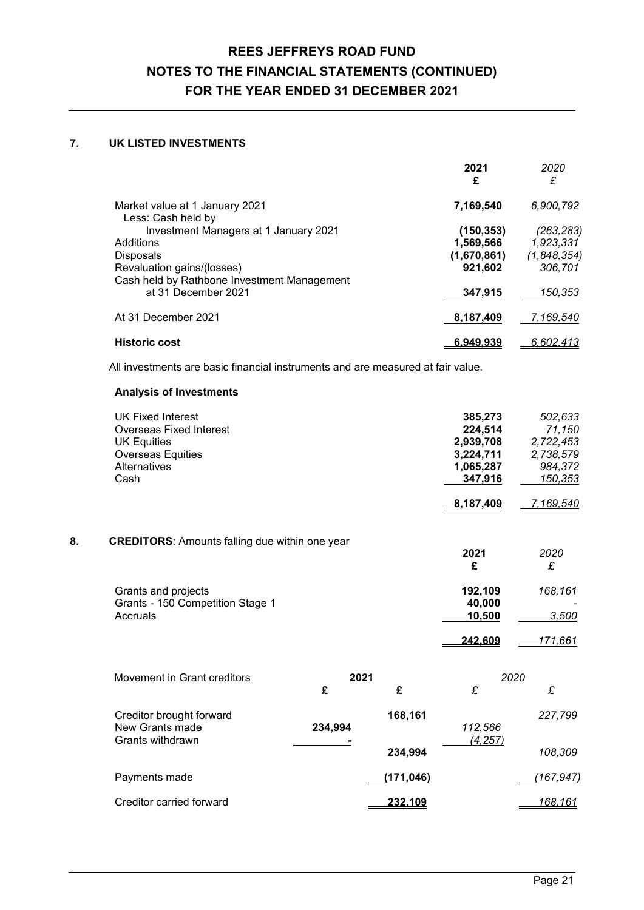### **7. UK LISTED INVESTMENTS**

|                                                                           | 2021<br>£   | 2020<br>£        |
|---------------------------------------------------------------------------|-------------|------------------|
| Market value at 1 January 2021<br>Less: Cash held by                      | 7,169,540   | 6,900,792        |
| Investment Managers at 1 January 2021                                     | (150, 353)  | (263, 283)       |
| Additions                                                                 | 1,569,566   | 1,923,331        |
| <b>Disposals</b>                                                          | (1,670,861) | (1,848,354)      |
| Revaluation gains/(losses)<br>Cash held by Rathbone Investment Management | 921,602     | 306,701          |
| at 31 December 2021                                                       | 347.915     | 150,353          |
| At 31 December 2021                                                       | 8.187.409   | <u>7,169,540</u> |
| <b>Historic cost</b>                                                      | 6.949.939   | 6,602,413        |

All investments are basic financial instruments and are measured at fair value.

### **Analysis of Investments**

|                                                       |            | 385,273         | 502,633                                                               |
|-------------------------------------------------------|------------|-----------------|-----------------------------------------------------------------------|
|                                                       |            | 224,514         | 71,150                                                                |
|                                                       |            |                 | 2,722,453                                                             |
|                                                       |            |                 | 2,738,579                                                             |
|                                                       |            |                 | 984,372<br>150,353                                                    |
|                                                       |            |                 |                                                                       |
|                                                       |            | 8,187,409       | 7,169,540                                                             |
|                                                       |            |                 |                                                                       |
| <b>CREDITORS:</b> Amounts falling due within one year |            |                 |                                                                       |
|                                                       |            | 2021            | 2020                                                                  |
|                                                       |            |                 | £                                                                     |
|                                                       |            | 192,109         | 168,161                                                               |
|                                                       |            | 40,000          |                                                                       |
|                                                       |            |                 | 3,500                                                                 |
|                                                       |            | 242,609         | 171,661                                                               |
|                                                       |            |                 |                                                                       |
|                                                       |            |                 |                                                                       |
| £                                                     | £          | $\pounds$       | £                                                                     |
|                                                       |            |                 | 227,799                                                               |
| 234,994                                               |            | 112,566         |                                                                       |
|                                                       |            | (4, 257)        |                                                                       |
|                                                       | 234,994    |                 | 108,309                                                               |
|                                                       | (171, 046) |                 | (167, 947)                                                            |
|                                                       |            | 2021<br>168,161 | 2,939,708<br>3,224,711<br>1,065,287<br>347,916<br>£<br>10,500<br>2020 |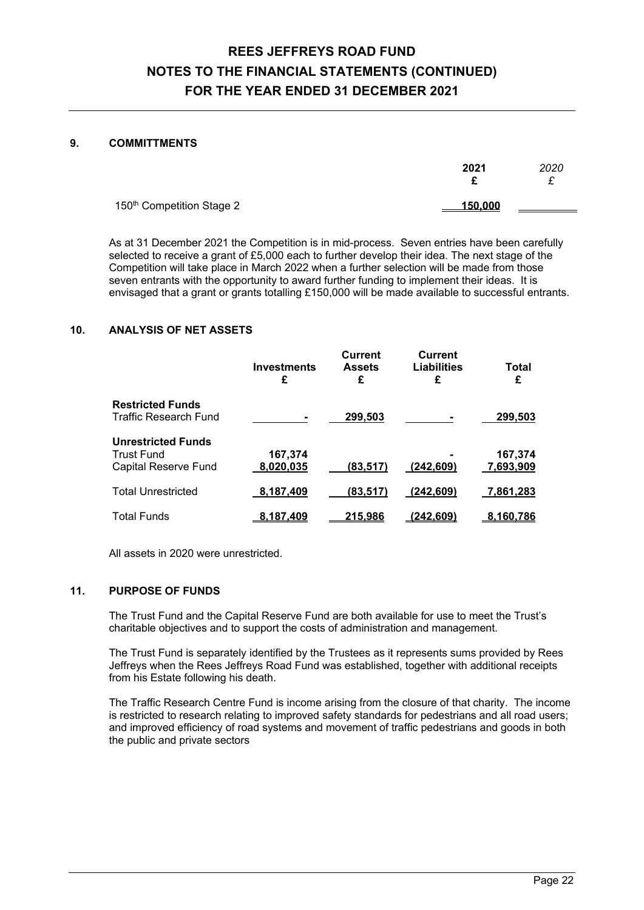### **9. COMMITTMENTS**

|                                       | 2021    | 2020<br>- |
|---------------------------------------|---------|-----------|
| 150 <sup>th</sup> Competition Stage 2 | 150.000 |           |

As at 31 December 2021 the Competition is in mid-process. Seven entries have been carefully selected to receive a grant of £5,000 each to further develop their idea. The next stage of the Competition will take place in March 2022 when a further selection will be made from those seven entrants with the opportunity to award further funding to implement their ideas. It is envisaged that a grant or grants totalling £150,000 will be made available to successful entrants.

### **10. ANALYSIS OF NET ASSETS**

|                              | <b>Investments</b><br>£ | <b>Current</b><br><b>Assets</b><br>£ | <b>Current</b><br>Liabilities<br>£ | Total<br>£ |
|------------------------------|-------------------------|--------------------------------------|------------------------------------|------------|
| <b>Restricted Funds</b>      |                         |                                      |                                    |            |
| <b>Traffic Research Fund</b> |                         | 299.503                              |                                    | 299,503    |
| <b>Unrestricted Funds</b>    |                         |                                      |                                    |            |
| <b>Trust Fund</b>            | 167,374                 |                                      |                                    | 167,374    |
| Capital Reserve Fund         | 8,020,035               | (83.517)                             | (242.609)                          | 7,693,909  |
| <b>Total Unrestricted</b>    | 8,187,409               | (83.517)                             | (242.609)                          | 7,861,283  |
| <b>Total Funds</b>           | <u>8.187.409</u>        | <u>215.986</u>                       | (242.609)                          | 8.160.786  |

All assets in 2020 were unrestricted.

### **11. PURPOSE OF FUNDS**

The Trust Fund and the Capital Reserve Fund are both available for use to meet the Trust's charitable objectives and to support the costs of administration and management.

The Trust Fund is separately identified by the Trustees as it represents sums provided by Rees Jeffreys when the Rees Jeffreys Road Fund was established, together with additional receipts from his Estate following his death.

The Traffic Research Centre Fund is income arising from the closure of that charity. The income is restricted to research relating to improved safety standards for pedestrians and all road users; and improved efficiency of road systems and movement of traffic pedestrians and goods in both the public and private sectors